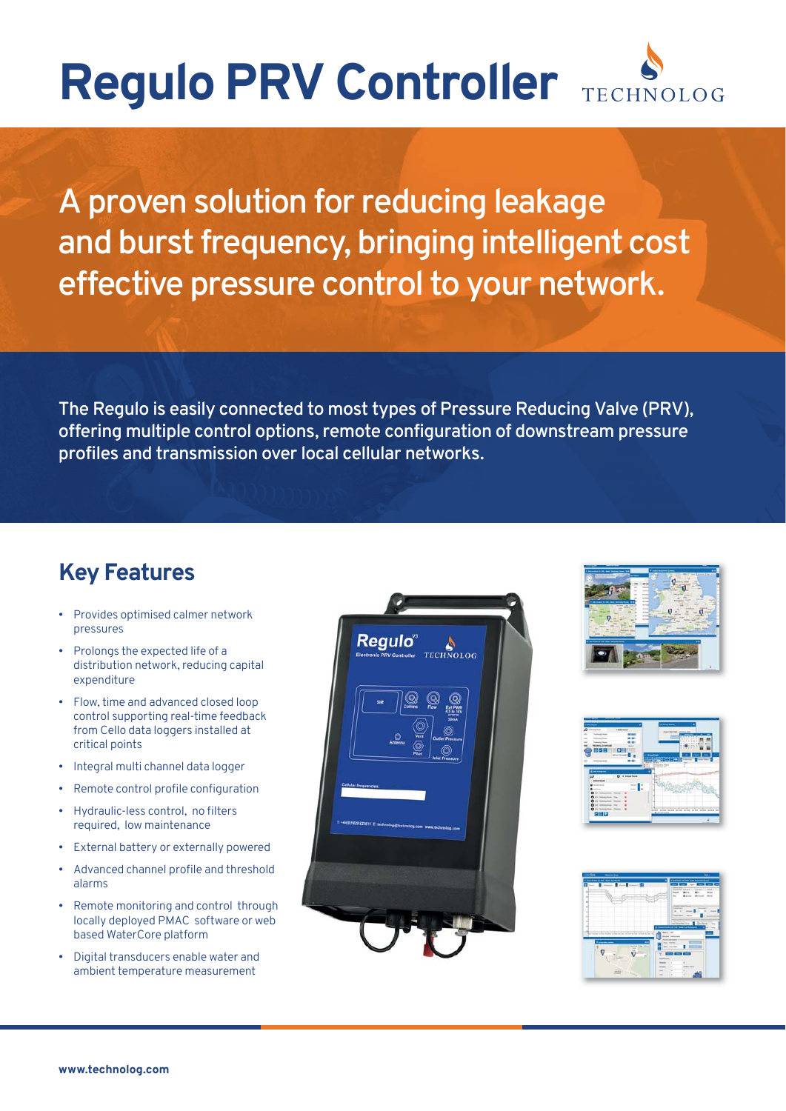## **Regulo PRV Controller TECHNOLOG**

A proven solution for reducing leakage and burst frequency, bringing intelligent cost effective pressure control to your network.

The Regulo is easily connected to most types of Pressure Reducing Valve (PRV), offering multiple control options, remote configuration of downstream pressure profiles and transmission over local cellular networks.

## **Key Features**

- Provides optimised calmer network pressures
- Prolongs the expected life of a distribution network, reducing capital expenditure
- Flow, time and advanced closed loop control supporting real-time feedback from Cello data loggers installed at critical points
- Integral multi channel data logger
- Remote control profile configuration
- Hydraulic-less control, no filters required, low maintenance
- External battery or externally powered
- Advanced channel profile and threshold alarms
- Remote monitoring and control through locally deployed PMAC software or web based WaterCore platform
- Digital transducers enable water and ambient temperature measurement